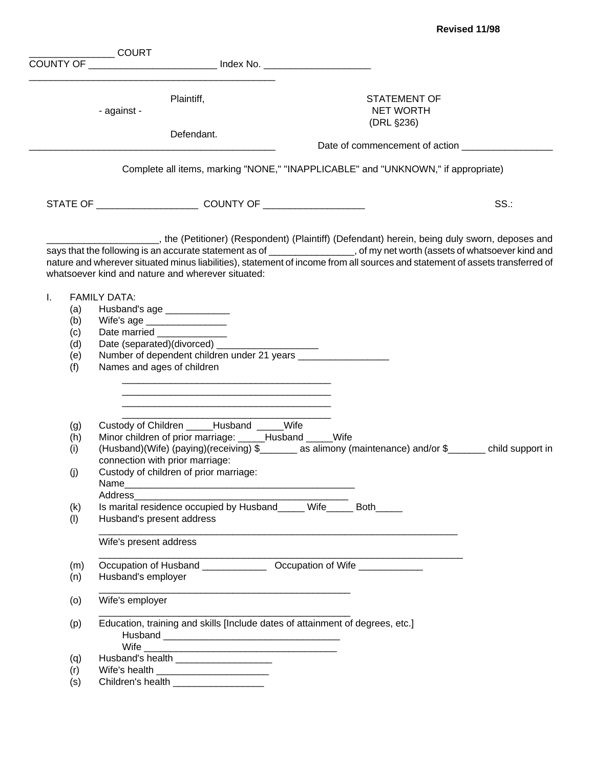|    |     | <b>COURT</b>                                                                  |            |                                                                                                                              |     |
|----|-----|-------------------------------------------------------------------------------|------------|------------------------------------------------------------------------------------------------------------------------------|-----|
|    |     | COUNTY OF ____________________________ Index No. ________________________     |            |                                                                                                                              |     |
|    |     |                                                                               |            |                                                                                                                              |     |
|    |     |                                                                               |            |                                                                                                                              |     |
|    |     | Plaintiff,                                                                    |            | <b>STATEMENT OF</b>                                                                                                          |     |
|    |     | - against -                                                                   |            | <b>NET WORTH</b>                                                                                                             |     |
|    |     |                                                                               |            | (DRL §236)                                                                                                                   |     |
|    |     |                                                                               | Defendant. |                                                                                                                              |     |
|    |     |                                                                               |            |                                                                                                                              |     |
|    |     |                                                                               |            | Complete all items, marking "NONE," "INAPPLICABLE" and "UNKNOWN," if appropriate)                                            |     |
|    |     |                                                                               |            |                                                                                                                              | SS. |
|    |     |                                                                               |            |                                                                                                                              |     |
|    |     |                                                                               |            | the (Petitioner) (Respondent) (Plaintiff) (Defendant) herein, being duly sworn, deposes and (Petitioner)                     |     |
|    |     |                                                                               |            | says that the following is an accurate statement as of ________________, of my net worth (assets of whatsoever kind and      |     |
|    |     |                                                                               |            | nature and wherever situated minus liabilities), statement of income from all sources and statement of assets transferred of |     |
|    |     | whatsoever kind and nature and wherever situated:                             |            |                                                                                                                              |     |
|    |     |                                                                               |            |                                                                                                                              |     |
| T. |     | <b>FAMILY DATA:</b>                                                           |            |                                                                                                                              |     |
|    | (a) | Husband's age _____________                                                   |            |                                                                                                                              |     |
|    | (b) | Wife's age _________________                                                  |            |                                                                                                                              |     |
|    | (c) | Date married ___________                                                      |            |                                                                                                                              |     |
|    | (d) | Date (separated)(divorced) _____                                              |            |                                                                                                                              |     |
|    | (e) |                                                                               |            |                                                                                                                              |     |
|    | (f) | Names and ages of children                                                    |            |                                                                                                                              |     |
|    |     |                                                                               |            |                                                                                                                              |     |
|    |     |                                                                               |            |                                                                                                                              |     |
|    |     |                                                                               |            |                                                                                                                              |     |
|    | (g) | Custody of Children _____Husband _____Wife                                    |            |                                                                                                                              |     |
|    | (h) | Minor children of prior marriage: _____Husband _____Wife                      |            |                                                                                                                              |     |
|    | (i) |                                                                               |            | (Husband)(Wife) (paying)(receiving) \$_______ as alimony (maintenance) and/or \$_______ child support in                     |     |
|    |     | connection with prior marriage:                                               |            |                                                                                                                              |     |
|    | (j) | Custody of children of prior marriage:                                        |            |                                                                                                                              |     |
|    |     | Name                                                                          |            |                                                                                                                              |     |
|    |     | Address                                                                       |            |                                                                                                                              |     |
|    | (k) | Is marital residence occupied by Husband_____ Wife_____ Both_____             |            |                                                                                                                              |     |
|    | (1) | Husband's present address                                                     |            |                                                                                                                              |     |
|    |     | Wife's present address                                                        |            |                                                                                                                              |     |
|    | (m) | Occupation of Husband _________________ Occupation of Wife _____________      |            |                                                                                                                              |     |
|    | (n) | Husband's employer                                                            |            |                                                                                                                              |     |
|    |     |                                                                               |            |                                                                                                                              |     |
|    | (0) | Wife's employer                                                               |            |                                                                                                                              |     |
|    | (p) | Education, training and skills [Include dates of attainment of degrees, etc.] |            |                                                                                                                              |     |
|    |     |                                                                               |            |                                                                                                                              |     |
|    |     |                                                                               |            |                                                                                                                              |     |
|    | (q) | Husband's health _____________________                                        |            |                                                                                                                              |     |
|    | (r) |                                                                               |            |                                                                                                                              |     |
|    | (s) | Children's health ___________________                                         |            |                                                                                                                              |     |
|    |     |                                                                               |            |                                                                                                                              |     |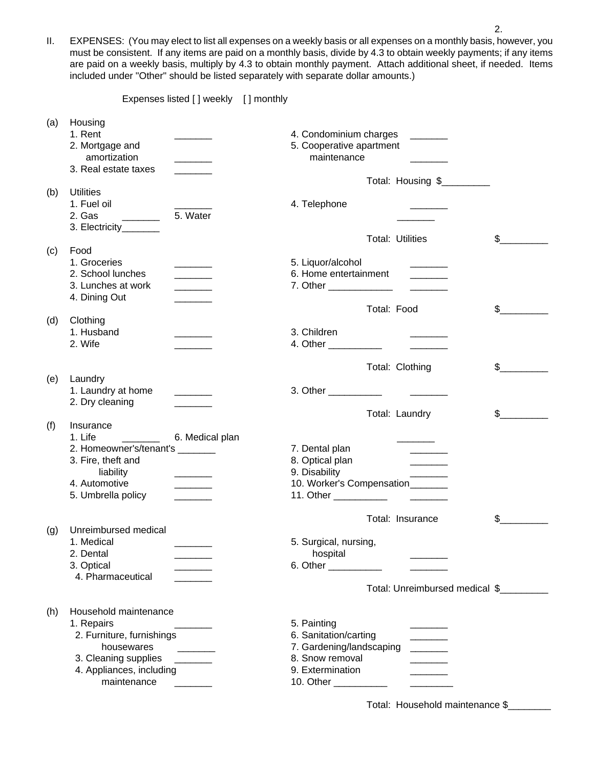II. EXPENSES: (You may elect to list all expenses on a weekly basis or all expenses on a monthly basis, however, you must be consistent. If any items are paid on a monthly basis, divide by 4.3 to obtain weekly payments; if any items are paid on a weekly basis, multiply by 4.3 to obtain monthly payment. Attach additional sheet, if needed. Items included under "Other" should be listed separately with separate dollar amounts.)

Expenses listed [ ] weekly [ ] monthly (a) Housing 1. Rent 2. Condominium charges 2. Condominium charges 2. Condominium charges 2. Condominium charges 2. Condominium charges 2. Condominium charges 2. Condominium charges 2. Condominium charges 2. Condominium charges 2. Cond 2. Mortgage and 5. Cooperative apartment amortization extensive that the maintenance amortization 3. Real estate taxes Total: Housing \$\_\_\_\_\_\_\_\_\_\_ (b) Utilities 1. Fuel oil and the contract of the contract of the 4. Telephone  $\sim$ 2. Gas \_\_\_\_\_\_\_ 5. Water \_\_\_\_\_\_\_ 3. Electricity Total: Utilities  $\qquad \qquad$  \$ (c) Food 1. Groceries \_\_\_\_\_\_\_ 5. Liquor/alcohol \_\_\_\_\_\_\_ 2. School lunches entertainment and  $\overline{a}$  6. Home entertainment 3. Lunches at work \_\_\_\_\_\_\_ 7. Other \_\_\_\_\_\_\_\_\_\_\_\_ \_\_\_\_\_\_\_ 4. Dining Out Total: Food  $\qquad \qquad$  \$ (d) Clothing 1. Husband \_\_\_\_\_\_\_ 3. Children \_\_\_\_\_\_\_ 2. Wife \_\_\_\_\_\_\_ 4. Other \_\_\_\_\_\_\_\_\_\_ \_\_\_\_\_\_\_ Total: Clothing  $$$  \_\_\_\_\_\_\_\_ (e) Laundry 1. Laundry at home 2. 2. Other 2. 2. Other 2. 2. Other 2. 2. Other 2. 2. Other 2. 2. Other 2. 2. Other 2. 2. Other 2. 2.  $\sigma$ 2. Dry cleaning Total: Laundry \$ (f) Insurance 1. Life \_\_\_\_\_\_\_ 6. Medical plan \_\_\_\_\_\_\_ 2. Homeowner's/tenant's \_\_\_\_\_\_\_ 7. Dental plan \_\_\_\_\_\_\_ 3. Fire, theft and 8. Optical plan liability **and the set of the set of the set of the set of the set of the set of the set of the set of the set o** 4. Automotive **Automotive 2.1 Automotive** 2.1 Automotive 2.1 Automotive 2.1 Automotive 2.1 Automotive 2.1 Automotive 2.1 Automotive 2.1 Automotive 2.1 Automotive 2.1 Automotive 2.1 Automotive 2.1 Automotive 2.1 Automotive 5. Umbrella policy \_\_\_\_\_\_\_ 11. Other \_\_\_\_\_\_\_\_\_\_ \_\_\_\_\_\_\_

Total: Insurance \$ (g) Unreimbursed medical 1. Medical **1.** Medical **1.** Medical **1.** Medical **1.** Medical, nursing, 1. 2. Dental \_\_\_\_\_\_\_ hospital \_\_\_\_\_\_\_ 3. Optical \_\_\_\_\_\_\_\_\_\_\_\_\_ 6. Other \_\_\_\_\_\_\_\_ 4. Pharmaceutical Total: Unreimbursed medical \$\_\_\_\_\_\_\_\_\_ (h) Household maintenance 1. Repairs \_\_\_\_\_\_\_ 5. Painting \_\_\_\_\_\_\_ 2. Furniture, furnishings 6. Sanitation/carting housewares **busewares 1. Gardening/landscaping**   $\overline{a}$ 3. Cleaning supplies \_\_\_\_\_\_\_\_ 8. Snow removal 4. Appliances, including extermination and 9. Extermination maintenance \_\_\_\_\_\_\_ 10. Other \_\_\_\_\_\_\_\_\_\_ \_\_\_\_\_\_\_\_

Total: Household maintenance \$\_\_\_\_\_\_\_\_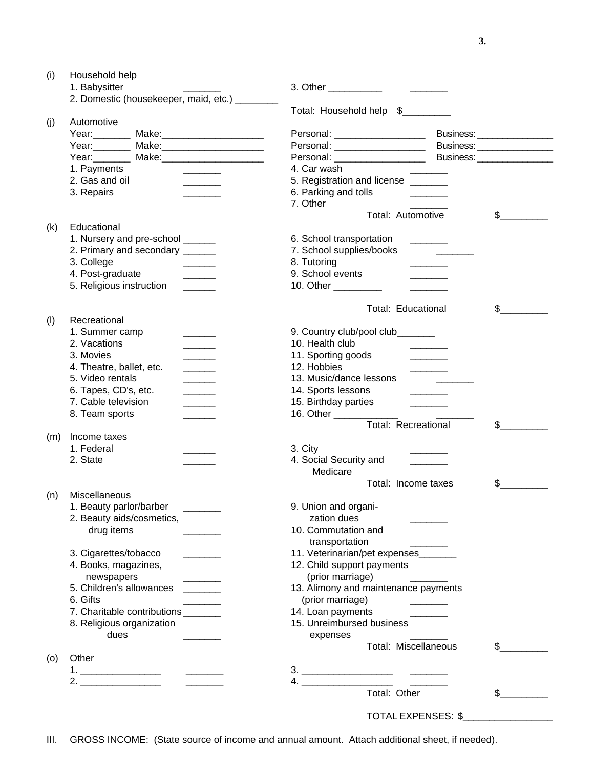| (i)           | Household help                                                                                                                                                                                                                    |                                                                                    |                               |
|---------------|-----------------------------------------------------------------------------------------------------------------------------------------------------------------------------------------------------------------------------------|------------------------------------------------------------------------------------|-------------------------------|
| 1. Babysitter |                                                                                                                                                                                                                                   | 3. Other ____________<br>$\mathcal{L}^{\text{max}}$ and $\mathcal{L}^{\text{max}}$ |                               |
|               | 2. Domestic (housekeeper, maid, etc.) _________                                                                                                                                                                                   | Total: Household help \$_________                                                  |                               |
| (j)           | Automotive                                                                                                                                                                                                                        |                                                                                    |                               |
|               | Year: Make: Make: Nake: Nake: Name of Dear and Dear and Dear and Dear and Dear and Dear and Dear and Dear and D                                                                                                                   |                                                                                    |                               |
|               | Year: Make: Make: Nake: Nake: Name of Dear and Dear and Dear and Dear and Dear and Dear and Dear and Dear and D                                                                                                                   | Personal: ____________________                                                     | Business: ___________________ |
|               | Year: Make: Make: Nake: National Make: National Make: National Make: National Make May 1990                                                                                                                                       | Personal: ___________________                                                      | Business: ___________________ |
|               | 1. Payments                                                                                                                                                                                                                       | 4. Car wash                                                                        |                               |
|               | 2. Gas and oil                                                                                                                                                                                                                    | 5. Registration and license ______                                                 |                               |
|               | 3. Repairs                                                                                                                                                                                                                        | 6. Parking and tolls                                                               |                               |
|               |                                                                                                                                                                                                                                   | 7. Other                                                                           |                               |
|               |                                                                                                                                                                                                                                   | Total: Automotive                                                                  | $\frac{1}{2}$                 |
| (k)           | Educational                                                                                                                                                                                                                       |                                                                                    |                               |
|               | 1. Nursery and pre-school ______                                                                                                                                                                                                  | 6. School transportation                                                           |                               |
|               | 2. Primary and secondary _____                                                                                                                                                                                                    | 7. School supplies/books                                                           |                               |
|               | 3. College                                                                                                                                                                                                                        | 8. Tutoring                                                                        |                               |
|               | 4. Post-graduate                                                                                                                                                                                                                  | 9. School events                                                                   |                               |
|               | 5. Religious instruction                                                                                                                                                                                                          | 10. Other _________                                                                |                               |
|               |                                                                                                                                                                                                                                   |                                                                                    |                               |
| (1)           | Recreational                                                                                                                                                                                                                      | <b>Total: Educational</b>                                                          | \$                            |
|               | 1. Summer camp                                                                                                                                                                                                                    |                                                                                    |                               |
|               | 2. Vacations                                                                                                                                                                                                                      | 9. Country club/pool club_______                                                   |                               |
|               | $\frac{1}{1}$                                                                                                                                                                                                                     | 10. Health club                                                                    |                               |
|               | 3. Movies                                                                                                                                                                                                                         | 11. Sporting goods                                                                 |                               |
|               | 4. Theatre, ballet, etc.                                                                                                                                                                                                          | 12. Hobbies                                                                        |                               |
|               | 5. Video rentals                                                                                                                                                                                                                  | 13. Music/dance lessons                                                            |                               |
|               | 6. Tapes, CD's, etc.                                                                                                                                                                                                              | 14. Sports lessons                                                                 |                               |
|               | 7. Cable television                                                                                                                                                                                                               | 15. Birthday parties                                                               |                               |
|               | 8. Team sports<br>$\overline{\phantom{a}}$                                                                                                                                                                                        | 16. Other _______                                                                  |                               |
|               |                                                                                                                                                                                                                                   | <b>Total: Recreational</b>                                                         | \$                            |
| (m)           | Income taxes<br>1. Federal                                                                                                                                                                                                        |                                                                                    |                               |
|               |                                                                                                                                                                                                                                   | 3. City                                                                            |                               |
|               | 2. State                                                                                                                                                                                                                          | 4. Social Security and                                                             |                               |
|               |                                                                                                                                                                                                                                   | Medicare<br>Total: Income taxes                                                    | \$                            |
| (n)           | Miscellaneous                                                                                                                                                                                                                     |                                                                                    |                               |
|               | 1. Beauty parlor/barber                                                                                                                                                                                                           | 9. Union and organi-                                                               |                               |
|               | 2. Beauty aids/cosmetics,                                                                                                                                                                                                         | zation dues                                                                        |                               |
|               | drug items                                                                                                                                                                                                                        | 10. Commutation and                                                                |                               |
|               |                                                                                                                                                                                                                                   | transportation                                                                     |                               |
|               | 3. Cigarettes/tobacco                                                                                                                                                                                                             | 11. Veterinarian/pet expenses_                                                     |                               |
|               | 4. Books, magazines,                                                                                                                                                                                                              | 12. Child support payments                                                         |                               |
|               |                                                                                                                                                                                                                                   | (prior marriage)                                                                   |                               |
|               | newspapers                                                                                                                                                                                                                        |                                                                                    |                               |
|               | 5. Children's allowances                                                                                                                                                                                                          | 13. Alimony and maintenance payments                                               |                               |
|               | 6. Gifts                                                                                                                                                                                                                          | (prior marriage)                                                                   |                               |
|               | 7. Charitable contributions                                                                                                                                                                                                       | 14. Loan payments                                                                  |                               |
|               | 8. Religious organization                                                                                                                                                                                                         | 15. Unreimbursed business                                                          |                               |
|               | dues                                                                                                                                                                                                                              | expenses                                                                           |                               |
| (0)           | Other                                                                                                                                                                                                                             | Total: Miscellaneous                                                               | $\mathbb{S}$                  |
|               |                                                                                                                                                                                                                                   |                                                                                    |                               |
|               | $\frac{1}{2}$ . The contract of the contract of the contract of the contract of the contract of the contract of the contract of the contract of the contract of the contract of the contract of the contract of the contract of t |                                                                                    |                               |
|               |                                                                                                                                                                                                                                   | 4. Total: Other                                                                    | $\mathbb S$                   |
|               |                                                                                                                                                                                                                                   |                                                                                    |                               |
|               |                                                                                                                                                                                                                                   | TOTAL EXPENSES: \$                                                                 |                               |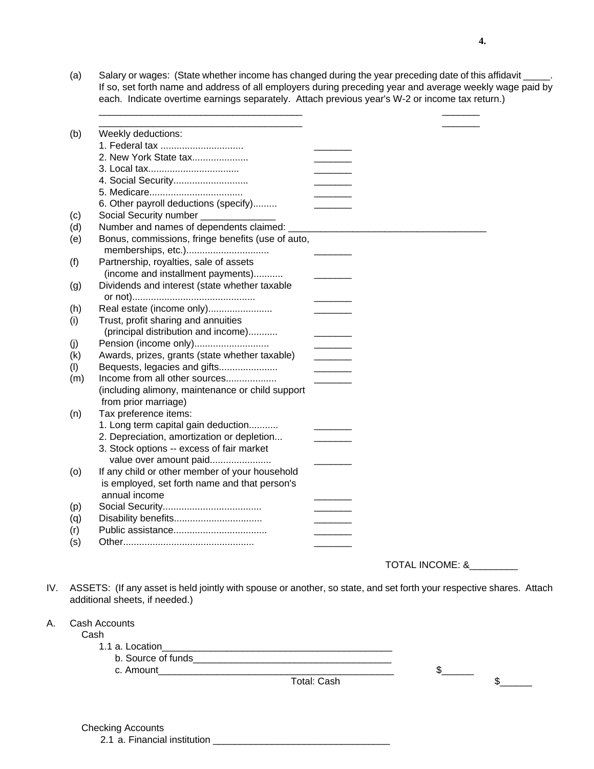(a) Salary or wages: (State whether income has changed during the year preceding date of this affidavit \_\_\_\_\_. If so, set forth name and address of all employers during preceding year and average weekly wage paid by each. Indicate overtime earnings separately. Attach previous year's W-2 or income tax return.)

\_\_\_\_\_\_\_\_\_\_\_\_\_\_\_\_\_\_\_\_\_\_\_\_\_\_\_\_\_\_\_\_\_\_\_\_\_\_ \_\_\_\_\_\_\_

| (b) | Weekly deductions:                                |  |  |
|-----|---------------------------------------------------|--|--|
|     | 1. Federal tax                                    |  |  |
|     | 2. New York State tax                             |  |  |
|     |                                                   |  |  |
|     |                                                   |  |  |
|     |                                                   |  |  |
|     | 6. Other payroll deductions (specify)             |  |  |
| (c) | Social Security number                            |  |  |
| (d) | Number and names of dependents claimed:           |  |  |
| (e) | Bonus, commissions, fringe benefits (use of auto, |  |  |
|     | memberships, etc.)                                |  |  |
| (f) | Partnership, royalties, sale of assets            |  |  |
|     | (income and installment payments)                 |  |  |
| (g) | Dividends and interest (state whether taxable     |  |  |
|     |                                                   |  |  |
| (h) | Real estate (income only)                         |  |  |
| (i) | Trust, profit sharing and annuities               |  |  |
|     | (principal distribution and income)               |  |  |
| (j) | Pension (income only)                             |  |  |
| (k) | Awards, prizes, grants (state whether taxable)    |  |  |
| (1) | Bequests, legacies and gifts                      |  |  |
| (m) | Income from all other sources                     |  |  |
|     | (including alimony, maintenance or child support  |  |  |
|     | from prior marriage)                              |  |  |
| (n) | Tax preference items:                             |  |  |
|     | 1. Long term capital gain deduction               |  |  |
|     | 2. Depreciation, amortization or depletion        |  |  |
|     | 3. Stock options -- excess of fair market         |  |  |
|     | value over amount paid                            |  |  |
| (o) | If any child or other member of your household    |  |  |
|     | is employed, set forth name and that person's     |  |  |
|     | annual income                                     |  |  |
| (p) |                                                   |  |  |
| (q) |                                                   |  |  |
| (r) |                                                   |  |  |
| (s) |                                                   |  |  |
|     |                                                   |  |  |

TOTAL INCOME: &\_\_\_\_\_\_\_\_\_

IV. ASSETS: (If any asset is held jointly with spouse or another, so state, and set forth your respective shares. Attach additional sheets, if needed.)

Cash

1.1 a. Location\_\_\_\_\_\_\_\_\_\_\_\_\_\_\_\_\_\_\_\_\_\_\_\_\_\_\_\_\_\_\_\_\_\_\_\_\_\_\_\_\_\_\_

b. Source of funds

c. Amount\_\_\_\_\_\_\_\_\_\_\_\_\_\_\_\_\_\_\_\_\_\_\_\_\_\_\_\_\_\_\_\_\_\_\_\_\_\_\_\_\_\_\_\_ \$\_\_\_\_\_\_

 $\begin{array}{c} \text{1} \end{array}$ 

Checking Accounts

2.1 a. Financial institution \_\_\_\_\_\_\_\_\_\_\_\_\_\_\_\_\_\_\_\_\_\_\_\_\_\_\_\_\_\_\_\_\_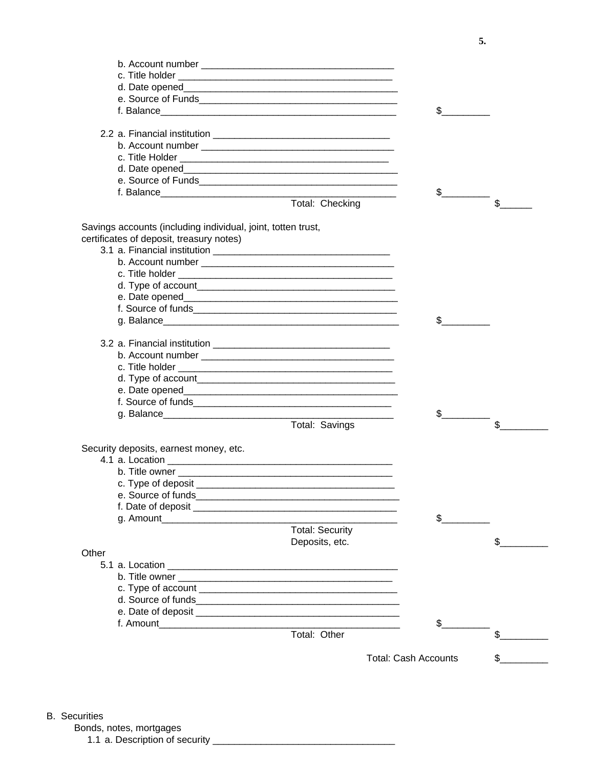|                                                              | \$                            |              |
|--------------------------------------------------------------|-------------------------------|--------------|
|                                                              |                               |              |
|                                                              |                               |              |
|                                                              |                               |              |
|                                                              |                               |              |
|                                                              |                               |              |
|                                                              |                               |              |
|                                                              | $\mathbb{S}$ and $\mathbb{S}$ |              |
| Total: Checking                                              |                               | $\mathbb{S}$ |
|                                                              |                               |              |
| Savings accounts (including individual, joint, totten trust, |                               |              |
| certificates of deposit, treasury notes)                     |                               |              |
|                                                              |                               |              |
|                                                              |                               |              |
|                                                              |                               |              |
|                                                              |                               |              |
|                                                              |                               |              |
|                                                              |                               |              |
|                                                              | \$                            |              |
|                                                              |                               |              |
|                                                              |                               |              |
|                                                              |                               |              |
|                                                              |                               |              |
|                                                              |                               |              |
|                                                              |                               |              |
|                                                              |                               |              |
| Total: Savings                                               | $\mathbb{S}$ and $\mathbb{S}$ | \$           |
|                                                              |                               |              |
| Security deposits, earnest money, etc.                       |                               |              |
|                                                              |                               |              |
|                                                              |                               |              |
|                                                              |                               |              |
|                                                              |                               |              |
|                                                              |                               |              |
|                                                              | $\mathbb S$ and $\mathbb S$   |              |
| <b>Total: Security</b>                                       |                               |              |
| Deposits, etc.                                               |                               | \$           |
| Other                                                        |                               |              |
|                                                              |                               |              |
|                                                              |                               |              |
|                                                              |                               |              |
|                                                              |                               |              |
|                                                              |                               |              |
|                                                              | \$                            |              |
| Total: Other                                                 |                               | $\mathbb{S}$ |
|                                                              |                               |              |
|                                                              | <b>Total: Cash Accounts</b>   |              |
|                                                              |                               |              |

- B. Securities
	- Bonds, notes, mortgages
		- 1.1 a. Description of security \_\_\_\_\_\_\_\_\_\_\_\_\_\_\_\_\_\_\_\_\_\_\_\_\_\_\_\_\_\_\_\_\_\_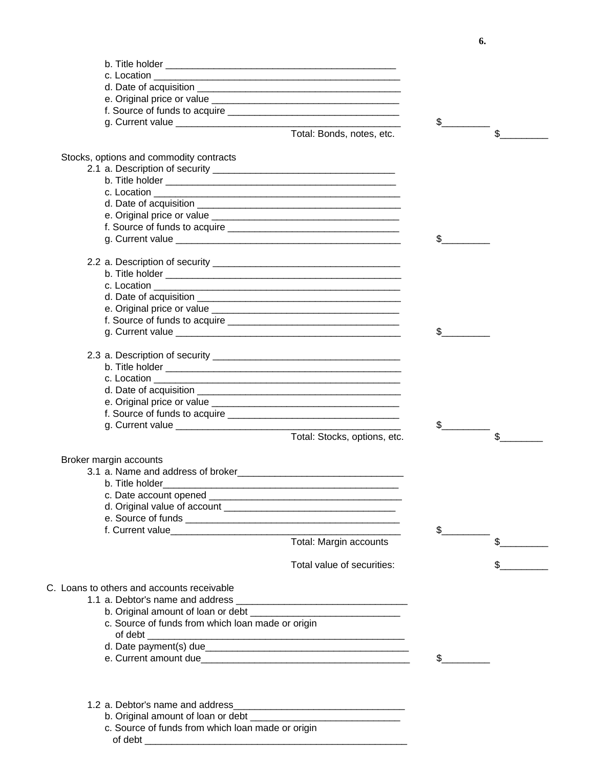|                                                   |                                                                                                                       | $\mathbb{S}$ |                |
|---------------------------------------------------|-----------------------------------------------------------------------------------------------------------------------|--------------|----------------|
|                                                   | Total: Bonds, notes, etc.                                                                                             |              | $\mathfrak{S}$ |
|                                                   |                                                                                                                       |              |                |
| Stocks, options and commodity contracts           |                                                                                                                       |              |                |
|                                                   |                                                                                                                       |              |                |
|                                                   |                                                                                                                       |              |                |
|                                                   |                                                                                                                       |              |                |
|                                                   |                                                                                                                       |              |                |
|                                                   |                                                                                                                       |              |                |
|                                                   |                                                                                                                       |              |                |
|                                                   |                                                                                                                       | \$           |                |
|                                                   |                                                                                                                       |              |                |
|                                                   |                                                                                                                       |              |                |
|                                                   |                                                                                                                       |              |                |
|                                                   |                                                                                                                       |              |                |
|                                                   |                                                                                                                       |              |                |
|                                                   |                                                                                                                       |              |                |
|                                                   |                                                                                                                       | \$           |                |
|                                                   |                                                                                                                       |              |                |
|                                                   |                                                                                                                       |              |                |
|                                                   |                                                                                                                       |              |                |
|                                                   |                                                                                                                       |              |                |
|                                                   |                                                                                                                       |              |                |
|                                                   |                                                                                                                       |              |                |
|                                                   |                                                                                                                       |              |                |
|                                                   |                                                                                                                       | $\mathbb{S}$ |                |
|                                                   | Total: Stocks, options, etc.                                                                                          |              | \$             |
|                                                   |                                                                                                                       |              |                |
| Broker margin accounts                            |                                                                                                                       |              |                |
|                                                   |                                                                                                                       |              |                |
| b. Title holder                                   |                                                                                                                       |              |                |
|                                                   |                                                                                                                       |              |                |
|                                                   |                                                                                                                       |              |                |
|                                                   |                                                                                                                       |              |                |
|                                                   |                                                                                                                       | \$           |                |
|                                                   | Total: Margin accounts                                                                                                |              | \$             |
|                                                   | Total value of securities:                                                                                            |              |                |
|                                                   |                                                                                                                       |              |                |
| C. Loans to others and accounts receivable        |                                                                                                                       |              |                |
|                                                   |                                                                                                                       |              |                |
|                                                   |                                                                                                                       |              |                |
| c. Source of funds from which loan made or origin |                                                                                                                       |              |                |
|                                                   |                                                                                                                       |              |                |
|                                                   |                                                                                                                       |              |                |
|                                                   |                                                                                                                       |              |                |
|                                                   |                                                                                                                       |              |                |
| 1.2 a. Debtor's name and address                  |                                                                                                                       |              |                |
|                                                   | <u> 1989 - Johann Stein, marwolaethau a bhann an t-Amhraid an t-Amhraid an t-Amhraid an t-Amhraid an t-Amhraid an</u> |              |                |
| c. Source of funds from which loan made or origin |                                                                                                                       |              |                |
| of debt                                           |                                                                                                                       |              |                |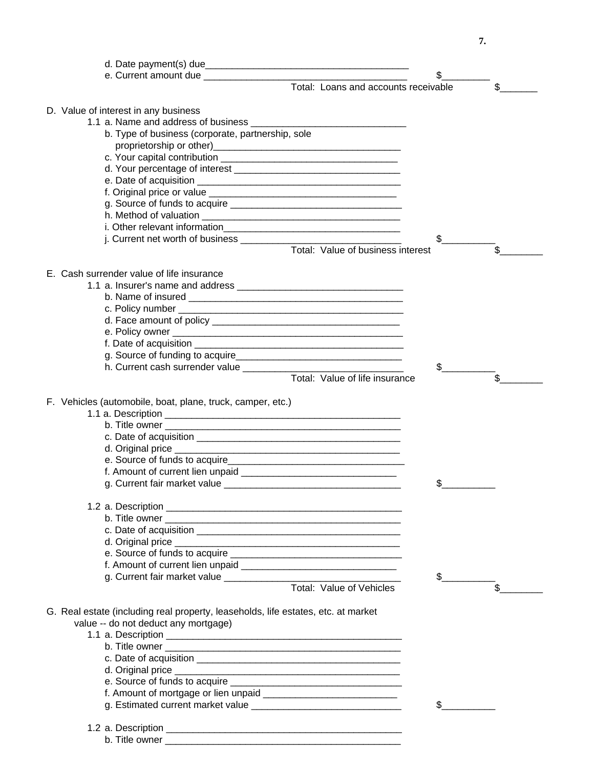d. Date payment(s) due e. Current amount due \_\_\_\_\_\_\_\_\_\_\_\_\_\_\_\_\_\_\_\_\_\_\_\_\_\_\_\_\_\_\_\_\_\_\_\_\_\_ \$\_\_\_\_\_\_\_\_\_ Total: Loans and accounts receivable  $\sim$  \$ D. Value of interest in any business 1.1 a. Name and address of business b. Type of business (corporate, partnership, sole proprietorship or other) c. Your capital contribution \_\_\_\_\_\_\_\_\_\_\_\_\_\_\_\_\_\_\_\_\_\_\_\_\_\_\_\_\_\_\_\_\_ d. Your percentage of interest e. Date of acquisition \_\_\_\_\_\_\_\_\_\_\_\_\_\_\_\_\_\_\_\_\_\_\_\_\_\_\_\_\_\_\_\_\_\_\_\_\_\_ f. Original price or value \_\_\_\_\_\_\_\_\_\_\_\_\_\_\_\_\_\_\_\_\_\_\_\_\_\_\_\_\_\_\_\_\_\_\_ g. Source of funds to acquire \_\_\_\_\_\_\_\_\_\_\_\_\_\_\_\_\_\_\_\_\_\_\_\_\_\_\_\_\_\_\_\_ h. Method of valuation \_\_\_\_\_\_\_\_\_\_\_\_\_\_\_\_\_\_\_\_\_\_\_\_\_\_\_\_\_\_\_\_\_\_\_\_\_ i. Other relevant information i. Current net worth of business  $\qquad \qquad \qquad \qquad$ Total: Value of business interest  $\sim$  \$ E. Cash surrender value of life insurance 1.1 a. Insurer's name and address b. Name of insured \_\_\_\_\_\_\_\_\_\_\_\_\_\_\_\_\_\_\_\_\_\_\_\_\_\_\_\_\_\_\_\_\_\_\_\_\_\_\_\_ c. Policy number \_\_\_\_\_\_\_\_\_\_\_\_\_\_\_\_\_\_\_\_\_\_\_\_\_\_\_\_\_\_\_\_\_\_\_\_\_\_\_\_\_\_ d. Face amount of policy \_\_\_\_\_\_\_\_\_\_\_\_\_\_\_\_\_\_\_\_\_\_\_\_\_\_\_\_\_\_\_\_\_\_\_ e. Policy owner \_\_\_\_\_\_\_\_\_\_\_\_\_\_\_\_\_\_\_\_\_\_\_\_\_\_\_\_\_\_\_\_\_\_\_\_\_\_\_\_\_\_\_ f. Date of acquisition g. Source of funding to acquire\_\_\_\_\_\_\_\_\_\_\_\_\_\_\_\_\_\_\_\_\_\_\_\_\_\_\_\_\_\_\_ h. Current cash surrender value \_\_\_\_\_\_\_\_\_\_\_\_\_\_\_\_\_\_\_\_\_\_\_\_\_\_\_\_\_\_ \$\_\_\_\_\_\_\_\_\_\_ Total: Value of life insurance F. Vehicles (automobile, boat, plane, truck, camper, etc.) 1.1 a. Description \_\_\_\_\_\_\_\_\_\_\_\_\_\_\_\_\_\_\_\_\_\_\_\_\_\_\_\_\_\_\_\_\_\_\_\_\_\_\_\_\_\_\_\_ b. Title owner \_\_\_\_\_\_\_\_\_\_\_\_\_\_\_\_\_\_\_\_\_\_\_\_\_\_\_\_\_\_\_\_\_\_\_\_\_\_\_\_\_\_\_\_ c. Date of acquisition \_\_\_\_\_\_\_\_\_\_\_\_\_\_\_\_\_\_\_\_\_\_\_\_\_\_\_\_\_\_\_\_\_\_\_\_\_\_ d. Original price  $\blacksquare$ e. Source of funds to acquire\_\_\_\_\_\_\_\_\_\_\_\_\_\_\_\_\_\_\_\_\_\_\_\_\_\_\_\_\_\_\_\_\_ f. Amount of current lien unpaid g. Current fair market value \_\_\_\_\_\_\_\_\_\_\_\_\_\_\_\_\_\_\_\_\_\_\_\_\_\_\_\_\_\_\_\_\_ \$\_\_\_\_\_\_\_\_\_\_ 1.2 a. Description \_\_\_\_\_\_\_\_\_\_\_\_\_\_\_\_\_\_\_\_\_\_\_\_\_\_\_\_\_\_\_\_\_\_\_\_\_\_\_\_\_\_\_\_ b. Title owner \_\_\_\_\_\_\_\_\_\_\_\_\_\_\_\_\_\_\_\_\_\_\_\_\_\_\_\_\_\_\_\_\_\_\_\_\_\_\_\_\_\_\_\_ c. Date of acquisition  $\overline{a}$ d. Original price  $\blacksquare$ e. Source of funds to acquire \_\_\_\_\_\_\_\_\_\_\_\_\_\_\_\_\_\_\_\_\_\_\_\_\_\_\_\_\_\_\_\_ f. Amount of current lien unpaid \_\_\_\_\_\_\_\_\_\_\_\_\_\_\_\_\_\_\_\_\_\_\_\_\_\_\_\_\_ g. Current fair market value \_\_\_\_\_\_\_\_\_\_\_\_\_\_\_\_\_\_\_\_\_\_\_\_\_\_\_\_\_\_\_\_\_ \$\_\_\_\_\_\_\_\_\_\_ Total: Value of Vehicles **\$** G. Real estate (including real property, leaseholds, life estates, etc. at market value -- do not deduct any mortgage) 1.1 a. Description \_\_\_\_\_\_\_\_\_\_\_\_\_\_\_\_\_\_\_\_\_\_\_\_\_\_\_\_\_\_\_\_\_\_\_\_\_\_\_\_\_\_\_\_ b. Title owner \_\_\_\_\_\_\_\_\_\_\_\_\_\_\_\_\_\_\_\_\_\_\_\_\_\_\_\_\_\_\_\_\_\_\_\_\_\_\_\_\_\_\_\_ c. Date of acquisition  $\overline{a}$ d. Original price  $\blacksquare$ e. Source of funds to acquire f. Amount of mortgage or lien unpaid \_\_\_\_\_\_\_\_\_\_\_\_\_\_\_\_\_\_\_\_\_\_\_\_\_ q. Estimated current market value  $\sim$ 

# 1.2 a. Description \_\_\_\_\_\_\_\_\_\_\_\_\_\_\_\_\_\_\_\_\_\_\_\_\_\_\_\_\_\_\_\_\_\_\_\_\_\_\_\_\_\_\_\_

b. Title owner **but all the set of the set of the set of the set of the set of the set of the set of the set of the set of the set of the set of the set of the set of the set of the set of the set of the set of the set of**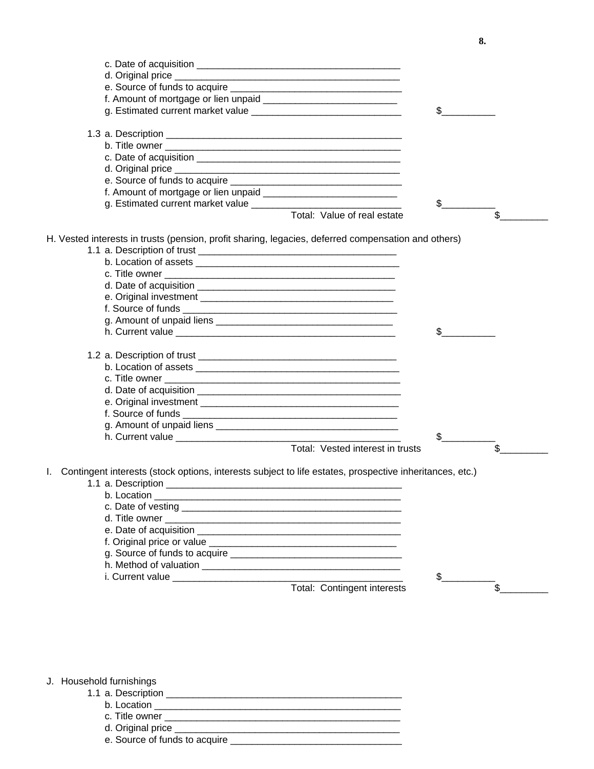| g. Estimated current market value                                                                                                                                                                                                    | \$  |                |
|--------------------------------------------------------------------------------------------------------------------------------------------------------------------------------------------------------------------------------------|-----|----------------|
|                                                                                                                                                                                                                                      |     |                |
|                                                                                                                                                                                                                                      |     |                |
|                                                                                                                                                                                                                                      |     |                |
|                                                                                                                                                                                                                                      |     |                |
|                                                                                                                                                                                                                                      |     |                |
|                                                                                                                                                                                                                                      |     |                |
|                                                                                                                                                                                                                                      |     |                |
|                                                                                                                                                                                                                                      | \$  |                |
| Total: Value of real estate                                                                                                                                                                                                          |     | $\mathfrak{S}$ |
| H. Vested interests in trusts (pension, profit sharing, legacies, deferred compensation and others)                                                                                                                                  |     |                |
|                                                                                                                                                                                                                                      |     |                |
|                                                                                                                                                                                                                                      |     |                |
|                                                                                                                                                                                                                                      |     |                |
|                                                                                                                                                                                                                                      |     |                |
|                                                                                                                                                                                                                                      |     |                |
|                                                                                                                                                                                                                                      |     |                |
|                                                                                                                                                                                                                                      |     |                |
| h. Current value <b>contract and the contract of the contract of the contract of the contract of the contract of the contract of the contract of the contract of the contract of the contract of the contract of the contract of</b> | \$  |                |
|                                                                                                                                                                                                                                      |     |                |
|                                                                                                                                                                                                                                      |     |                |
|                                                                                                                                                                                                                                      |     |                |
|                                                                                                                                                                                                                                      |     |                |
|                                                                                                                                                                                                                                      |     |                |
|                                                                                                                                                                                                                                      |     |                |
|                                                                                                                                                                                                                                      |     |                |
|                                                                                                                                                                                                                                      |     |                |
|                                                                                                                                                                                                                                      | \$. |                |
| Total: Vested interest in trusts                                                                                                                                                                                                     |     | $\mathfrak{S}$ |
| I. Contingent interests (stock options, interests subject to life estates, prospective inheritances, etc.)                                                                                                                           |     |                |
| 1.1 a. Description                                                                                                                                                                                                                   |     |                |
|                                                                                                                                                                                                                                      |     |                |
| c. Date of vesting and the state of vesting and the state of vesting and the state of the state of the state of the state of the state of the state of the state of the state of the state of the state of the state of the st       |     |                |
| d. Title owner                                                                                                                                                                                                                       |     |                |
|                                                                                                                                                                                                                                      |     |                |
|                                                                                                                                                                                                                                      |     |                |
|                                                                                                                                                                                                                                      |     |                |
|                                                                                                                                                                                                                                      |     |                |
| i. Current value expansion of the control of the control of the control of the control of the control of the control of the control of the control of the control of the control of the control of the control of the control        | \$  |                |
| Total: Contingent interests                                                                                                                                                                                                          |     | \$             |
|                                                                                                                                                                                                                                      |     |                |

J. Household furnishings

- 1.1 a. Description \_\_\_\_\_\_\_\_\_\_\_\_\_\_\_\_\_\_\_\_\_\_\_\_\_\_\_\_\_\_\_\_\_\_\_\_\_\_\_\_\_\_\_\_
	- b. Location \_\_\_\_\_\_\_\_\_\_\_\_\_\_\_\_\_\_\_\_\_\_\_\_\_\_\_\_\_\_\_\_\_\_\_\_\_\_\_\_\_\_\_\_\_\_
	- c. Title owner \_\_\_\_\_\_\_\_\_\_\_\_\_\_\_\_\_\_\_\_\_\_\_\_\_\_\_\_\_\_\_\_\_\_\_\_\_\_\_\_\_\_\_\_
	- d. Original price  $_$

e. Source of funds to acquire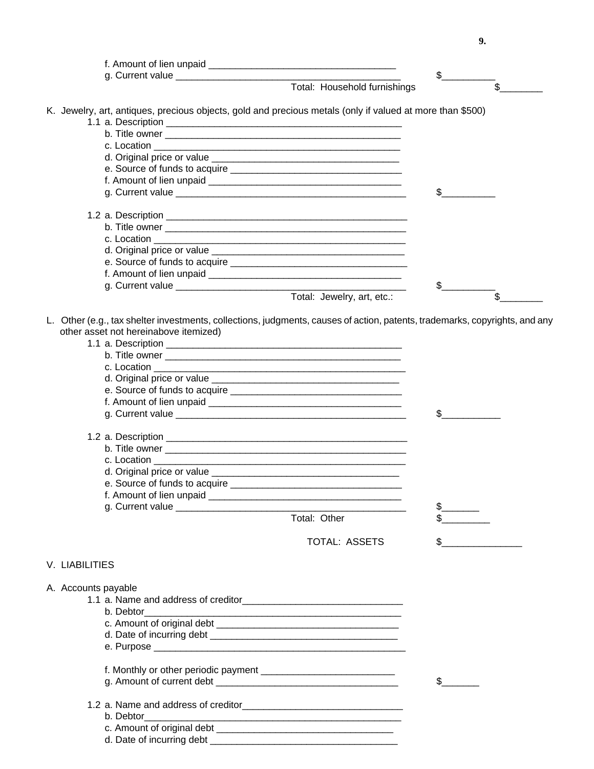f. Amount of lien unpaid g. Current value \_\_\_\_\_\_\_\_\_\_\_\_\_\_\_\_\_\_\_\_\_\_\_\_\_\_\_\_\_\_\_\_\_\_\_\_\_\_\_\_\_\_ \$\_\_\_\_\_\_\_\_\_\_ Total: Household furnishings \$ K. Jewelry, art, antiques, precious objects, gold and precious metals (only if valued at more than \$500) 1.1 a. Description \_\_\_\_\_\_\_\_\_\_\_\_\_\_\_\_\_\_\_\_\_\_\_\_\_\_\_\_\_\_\_\_\_\_\_\_\_\_\_\_\_\_\_\_ b. Title owner \_\_\_\_\_\_\_\_\_\_\_\_\_\_\_\_\_\_\_\_\_\_\_\_\_\_\_\_\_\_\_\_\_\_\_\_\_\_\_\_\_\_\_\_ c. Location d. Original price or value e. Source of funds to acquire f. Amount of lien unpaid \_\_\_\_\_\_\_\_\_\_\_\_\_\_\_\_\_\_\_\_\_\_\_\_\_\_\_\_\_\_\_\_\_\_\_\_ g. Current value  $\sim$ 1.2 a. Description \_\_\_\_\_\_\_\_\_\_\_\_\_\_\_\_\_\_\_\_\_\_\_\_\_\_\_\_\_\_\_\_\_\_\_\_\_\_\_\_\_\_\_\_\_ b. Title owner \_\_\_\_\_\_\_\_\_\_\_\_\_\_\_\_\_\_\_\_\_\_\_\_\_\_\_\_\_\_\_\_\_\_\_\_\_\_\_\_\_\_\_\_\_ c. Location \_\_\_\_\_\_\_\_\_\_\_\_\_\_\_\_\_\_\_\_\_\_\_\_\_\_\_\_\_\_\_\_\_\_\_\_\_\_\_\_\_\_\_\_\_\_\_ d. Original price or value \_\_\_\_\_\_\_\_\_\_\_\_\_\_\_\_\_\_\_\_\_\_\_\_\_\_\_\_\_\_\_\_\_\_\_\_ e. Source of funds to acquire \_\_\_\_\_\_\_\_\_\_\_\_\_\_\_\_\_\_\_\_\_\_\_\_\_\_\_\_\_\_\_\_\_ f. Amount of lien unpaid g. Current value \_\_\_\_\_\_\_\_\_\_\_\_\_\_\_\_\_\_\_\_\_\_\_\_\_\_\_\_\_\_\_\_\_\_\_\_\_\_\_\_\_\_\_ \$\_\_\_\_\_\_\_\_\_\_ Total: Jewelry, art, etc.:  $\$\$ L. Other (e.g., tax shelter investments, collections, judgments, causes of action, patents, trademarks, copyrights, and any other asset not hereinabove itemized) 1.1 a. Description \_\_\_\_\_\_\_\_\_\_\_\_\_\_\_\_\_\_\_\_\_\_\_\_\_\_\_\_\_\_\_\_\_\_\_\_\_\_\_\_\_\_\_\_ b. Title owner \_\_\_\_\_\_\_\_\_\_\_\_\_\_\_\_\_\_\_\_\_\_\_\_\_\_\_\_\_\_\_\_\_\_\_\_\_\_\_\_\_\_\_\_ c. Location \_\_\_\_\_\_\_\_\_\_\_\_\_\_\_\_\_\_\_\_\_\_\_\_\_\_\_\_\_\_\_\_\_\_\_\_\_\_\_\_\_\_\_\_\_\_\_ d. Original price or value e. Source of funds to acquire \_\_\_\_\_\_\_\_\_\_\_\_\_\_\_\_\_\_\_\_\_\_\_\_\_\_\_\_\_\_\_\_ f. Amount of lien unpaid g. Current value  $\qquad \qquad \qquad$ 1.2 a. Description \_\_\_\_\_\_\_\_\_\_\_\_\_\_\_\_\_\_\_\_\_\_\_\_\_\_\_\_\_\_\_\_\_\_\_\_\_\_\_\_\_\_\_\_\_ b. Title owner \_\_\_\_\_\_\_\_\_\_\_\_\_\_\_\_\_\_\_\_\_\_\_\_\_\_\_\_\_\_\_\_\_\_\_\_\_\_\_\_\_\_\_\_\_ c. Location \_\_\_\_\_\_\_\_\_\_\_\_\_\_\_\_\_\_\_\_\_\_\_\_\_\_\_\_\_\_\_\_\_\_\_\_\_\_\_\_\_\_\_\_\_\_\_ d. Original price or value e. Source of funds to acquire \_\_\_\_\_\_\_\_\_\_\_\_\_\_\_\_\_\_\_\_\_\_\_\_\_\_\_\_\_\_\_\_ f. Amount of lien unpaid \_\_\_\_\_\_\_\_\_\_\_\_\_\_\_\_\_\_\_\_\_\_\_\_\_\_\_\_\_\_\_\_\_\_\_\_ g. Current value \_\_\_\_\_\_\_\_\_\_\_\_\_\_\_\_\_\_\_\_\_\_\_\_\_\_\_\_\_\_\_\_\_\_\_\_\_\_\_\_\_\_\_ \$\_\_\_\_\_\_\_ Total: Other TOTAL: ASSETS  $\qquad \qquad$  \$ V. LIABILITIES A. Accounts payable 1.1 a. Name and address of creditor b. Debtor c. Amount of original debt \_\_\_\_\_\_\_\_\_\_\_\_\_\_\_\_\_\_\_\_\_\_\_\_\_\_\_\_\_\_\_\_\_\_ d. Date of incurring debt \_\_\_\_\_\_\_\_\_\_\_\_\_\_\_\_\_\_\_\_\_\_\_\_\_\_\_\_\_\_\_\_\_\_\_ e. Purpose \_\_\_\_\_\_\_\_\_\_\_\_\_\_\_\_\_\_\_\_\_\_\_\_\_\_\_\_\_\_\_\_\_\_\_\_\_\_\_\_\_\_\_\_\_\_\_ f. Monthly or other periodic payment \_\_\_\_\_\_\_\_\_\_\_\_\_\_\_\_\_\_\_\_\_\_\_\_\_ g. Amount of current debt \_\_\_\_\_\_\_\_\_\_\_\_\_\_\_\_\_\_\_\_\_\_\_\_\_\_\_\_\_\_\_\_\_\_ \$\_\_\_\_\_\_\_ 1.2 a. Name and address of creditor b. Debtor\_\_\_\_\_\_\_\_\_\_\_\_\_\_\_\_\_\_\_\_\_\_\_\_\_\_\_\_\_\_\_\_\_\_\_\_\_\_\_\_\_\_\_\_\_\_\_\_

c. Amount of original debt d. Date of incurring debt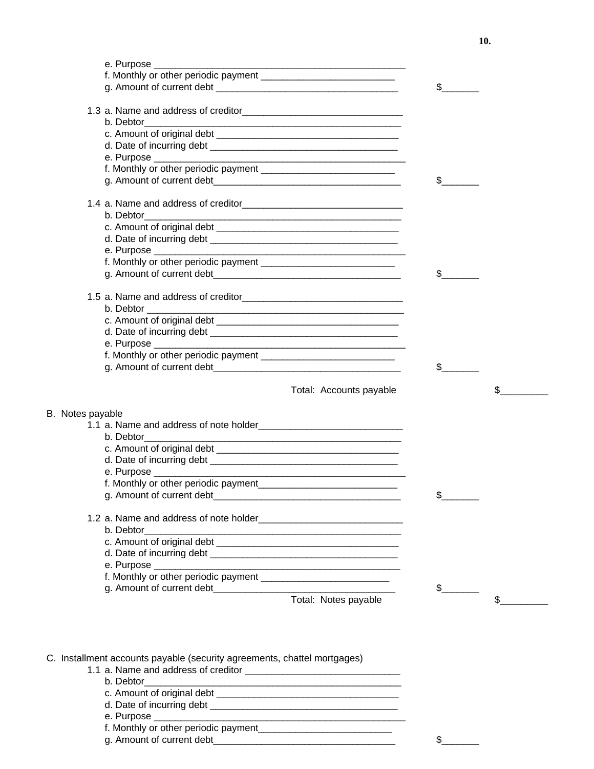|                                      |                         | $\frac{1}{2}$ |    |
|--------------------------------------|-------------------------|---------------|----|
|                                      |                         |               |    |
| b. Debtor                            |                         |               |    |
|                                      |                         |               |    |
|                                      |                         |               |    |
|                                      |                         |               |    |
|                                      |                         |               |    |
|                                      |                         | \$            |    |
|                                      |                         |               |    |
| b. Debtor                            |                         |               |    |
|                                      |                         |               |    |
|                                      |                         |               |    |
|                                      |                         |               |    |
|                                      |                         |               |    |
|                                      |                         | $\mathbb{S}$  |    |
|                                      |                         |               |    |
|                                      |                         |               |    |
|                                      |                         |               |    |
|                                      |                         |               |    |
|                                      |                         |               |    |
|                                      |                         |               |    |
|                                      |                         | $\frac{1}{2}$ |    |
|                                      | Total: Accounts payable |               | \$ |
| B. Notes payable                     |                         |               |    |
|                                      |                         |               |    |
| b. Debtor                            |                         |               |    |
|                                      |                         |               |    |
|                                      |                         |               |    |
|                                      |                         |               |    |
| f. Monthly or other periodic payment |                         |               |    |
|                                      |                         | \$            |    |
|                                      |                         |               |    |
| b. Debtor                            |                         |               |    |
|                                      |                         |               |    |
|                                      |                         |               |    |
|                                      |                         |               |    |
|                                      |                         |               |    |
| g. Amount of current debt__________  |                         | \$            |    |
|                                      | Total: Notes payable    |               | \$ |

## C. Installment accounts payable (security agreements, chattel mortgages)

- 1.1 a. Name and address of creditor \_\_\_\_\_\_\_\_\_\_\_\_\_\_\_\_\_\_\_\_\_\_\_\_\_\_\_\_\_
	- b. Debtor
	- c. Amount of original debt \_\_\_\_\_\_\_\_\_\_\_\_\_\_\_\_\_\_\_\_\_\_\_\_\_\_\_\_\_\_\_\_\_\_
	- d. Date of incurring debt \_\_\_\_\_\_\_\_\_\_\_\_\_\_\_\_\_\_\_\_\_\_\_\_\_\_\_\_\_\_\_\_\_\_\_
	- e. Purpose \_\_\_\_\_\_\_\_\_\_\_\_\_\_\_\_\_\_\_\_\_\_\_\_\_\_\_\_\_\_\_\_\_\_\_\_\_\_\_\_\_\_\_\_\_\_\_
	- f. Monthly or other periodic payment\_\_\_\_\_\_\_\_\_\_\_\_\_\_\_\_\_\_\_\_\_\_\_\_\_
	- g. Amount of current debt $\qquad \qquad$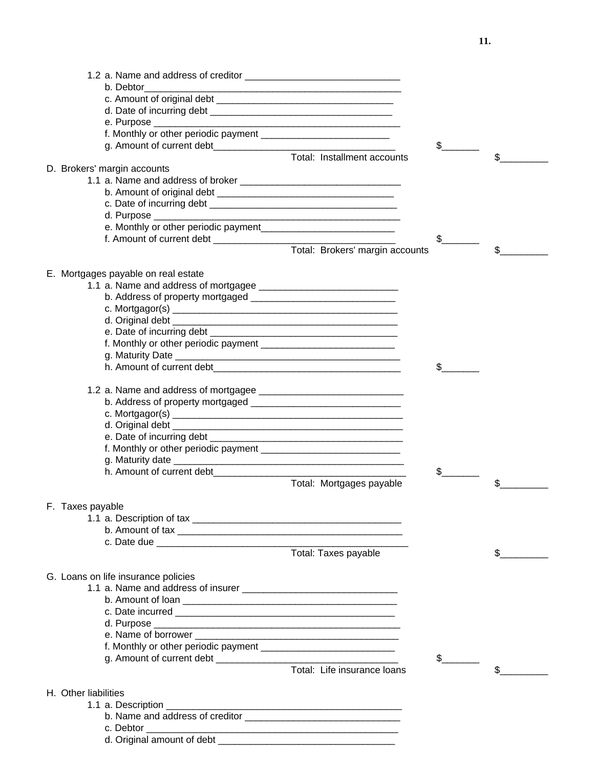|                                      | $\frac{1}{\sqrt{2}}$                              |
|--------------------------------------|---------------------------------------------------|
|                                      | Total: Installment accounts<br>\$                 |
| D. Brokers' margin accounts          |                                                   |
|                                      |                                                   |
|                                      |                                                   |
|                                      |                                                   |
| e. Monthly or other periodic payment |                                                   |
|                                      | $\mathbb{S}$                                      |
|                                      | Total: Brokers' margin accounts<br>\$             |
|                                      |                                                   |
| E. Mortgages payable on real estate  |                                                   |
|                                      |                                                   |
|                                      |                                                   |
|                                      |                                                   |
|                                      |                                                   |
|                                      |                                                   |
|                                      |                                                   |
|                                      |                                                   |
|                                      |                                                   |
|                                      |                                                   |
|                                      |                                                   |
|                                      |                                                   |
|                                      |                                                   |
|                                      |                                                   |
|                                      |                                                   |
|                                      |                                                   |
|                                      | $\mathsf S$                                       |
|                                      | Total: Mortgages payable<br>\$                    |
|                                      |                                                   |
| F. Taxes payable                     |                                                   |
|                                      |                                                   |
|                                      |                                                   |
| Total: Taxes payable                 | \$                                                |
|                                      |                                                   |
| G. Loans on life insurance policies  |                                                   |
|                                      |                                                   |
|                                      |                                                   |
|                                      |                                                   |
|                                      |                                                   |
|                                      |                                                   |
|                                      |                                                   |
|                                      | $\mathbb{S}$<br>Total: Life insurance loans<br>\$ |
|                                      |                                                   |
| H. Other liabilities                 |                                                   |
|                                      |                                                   |
|                                      |                                                   |
|                                      |                                                   |
|                                      |                                                   |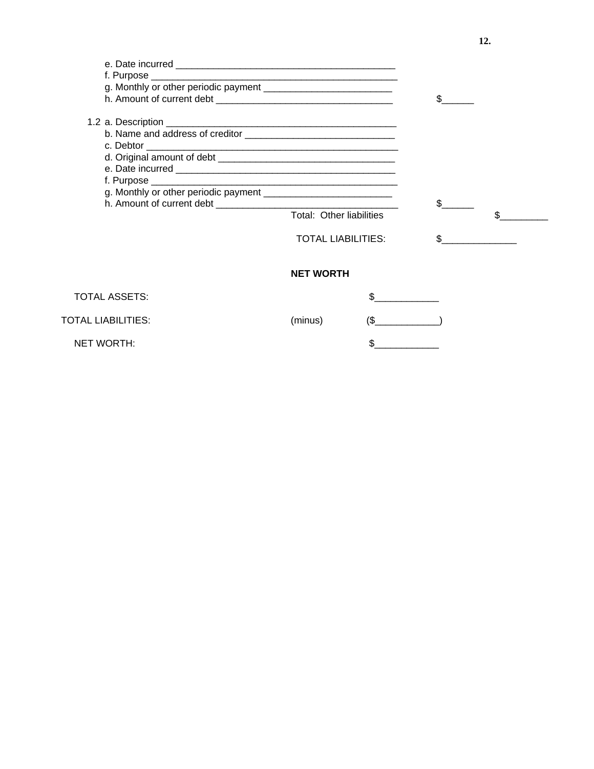|                      | Total: Other liabilities  |            | $\mathbb{S}$ |  |
|----------------------|---------------------------|------------|--------------|--|
|                      | <b>TOTAL LIABILITIES:</b> |            | \$.          |  |
|                      | <b>NET WORTH</b>          |            |              |  |
| <b>TOTAL ASSETS:</b> |                           |            |              |  |
| TOTAL LIABILITIES:   | (minus)                   | $\sqrt{S}$ |              |  |
| NET WORTH:           |                           | \$         |              |  |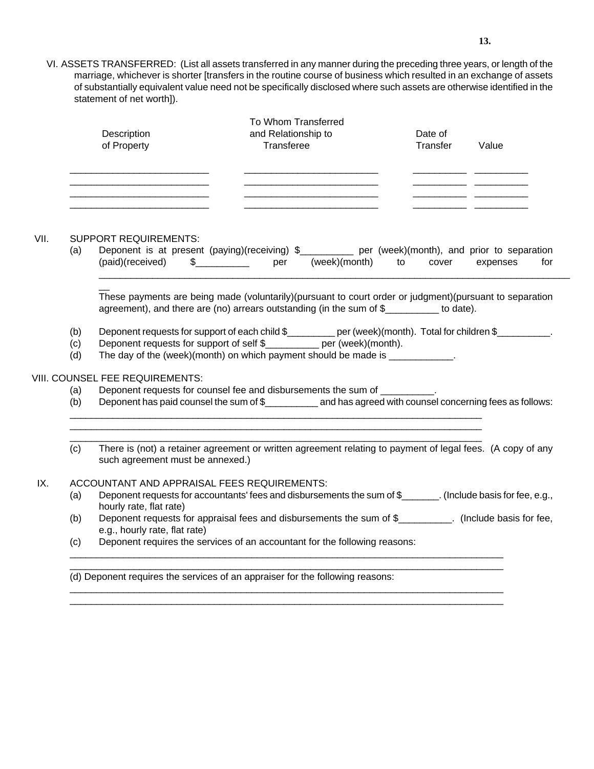VI. ASSETS TRANSFERRED: (List all assets transferred in any manner during the preceding three years, or length of the marriage, whichever is shorter [transfers in the routine course of business which resulted in an exchange of assets of substantially equivalent value need not be specifically disclosed where such assets are otherwise identified in the statement of net worth]).

| Description<br>of Property | To Whom Transferred<br>and Relationship to<br>Transferee | Date of<br>Transfer | Value |  |  |
|----------------------------|----------------------------------------------------------|---------------------|-------|--|--|
|                            |                                                          |                     |       |  |  |

#### VII. SUPPORT REQUIREMENTS:

 $\overline{\phantom{a}}$ 

(a) Deponent is at present (paying)(receiving) \$\_\_\_\_\_\_\_\_\_\_ per (week)(month), and prior to separation (paid)(received) \$\_\_\_\_\_\_\_\_\_\_ per (week)(month) to cover expenses for \_\_\_\_\_\_\_\_\_\_\_\_\_\_\_\_\_\_\_\_\_\_\_\_\_\_\_\_\_\_\_\_\_\_\_\_\_\_\_\_\_\_\_\_\_\_\_\_\_\_\_\_\_\_\_\_\_\_\_\_\_\_\_\_\_\_\_\_\_\_\_\_\_\_\_\_\_\_\_\_\_\_\_\_\_\_\_\_

These payments are being made (voluntarily)(pursuant to court order or judgment)(pursuant to separation agreement), and there are (no) arrears outstanding (in the sum of \$\_\_\_\_\_\_\_\_\_\_ to date).

- (b) Deponent requests for support of each child \$\_\_\_\_\_\_\_\_ per (week)(month). Total for children \$\_\_\_\_\_\_\_\_\_\_.
- (c) Deponent requests for support of self \$\_\_\_\_\_\_\_\_\_\_ per (week)(month).
- (d) The day of the (week)(month) on which payment should be made is  $\frac{1}{\sqrt{2\pi}}$ .

\_\_\_\_\_\_\_\_\_\_\_\_\_\_\_\_\_\_\_\_\_\_\_\_\_\_\_\_\_\_\_\_\_\_\_\_\_\_\_\_\_\_\_\_\_\_\_\_\_\_\_\_\_\_\_\_\_\_\_\_\_\_\_\_\_\_\_\_\_\_\_\_\_\_\_\_\_ \_\_\_\_\_\_\_\_\_\_\_\_\_\_\_\_\_\_\_\_\_\_\_\_\_\_\_\_\_\_\_\_\_\_\_\_\_\_\_\_\_\_\_\_\_\_\_\_\_\_\_\_\_\_\_\_\_\_\_\_\_\_\_\_\_\_\_\_\_\_\_\_\_\_\_\_\_ \_\_\_\_\_\_\_\_\_\_\_\_\_\_\_\_\_\_\_\_\_\_\_\_\_\_\_\_\_\_\_\_\_\_\_\_\_\_\_\_\_\_\_\_\_\_\_\_\_\_\_\_\_\_\_\_\_\_\_\_\_\_\_\_\_\_\_\_\_\_\_\_\_\_\_\_\_

### VIII. COUNSEL FEE REQUIREMENTS:

- (a) Deponent requests for counsel fee and disbursements the sum of
- (b) Deponent has paid counsel the sum of \$ and has agreed with counsel concerning fees as follows:
- (c) There is (not) a retainer agreement or written agreement relating to payment of legal fees. (A copy of any such agreement must be annexed.)

#### IX. ACCOUNTANT AND APPRAISAL FEES REQUIREMENTS:

- (a) Deponent requests for accountants' fees and disbursements the sum of \$ (Include basis for fee, e.g., hourly rate, flat rate)
- (b) Deponent requests for appraisal fees and disbursements the sum of \$\_\_\_\_\_\_\_\_\_\_. (Include basis for fee, e.g., hourly rate, flat rate)

\_\_\_\_\_\_\_\_\_\_\_\_\_\_\_\_\_\_\_\_\_\_\_\_\_\_\_\_\_\_\_\_\_\_\_\_\_\_\_\_\_\_\_\_\_\_\_\_\_\_\_\_\_\_\_\_\_\_\_\_\_\_\_\_\_\_\_\_\_\_\_\_\_\_\_\_\_\_\_\_\_ \_\_\_\_\_\_\_\_\_\_\_\_\_\_\_\_\_\_\_\_\_\_\_\_\_\_\_\_\_\_\_\_\_\_\_\_\_\_\_\_\_\_\_\_\_\_\_\_\_\_\_\_\_\_\_\_\_\_\_\_\_\_\_\_\_\_\_\_\_\_\_\_\_\_\_\_\_\_\_\_\_

\_\_\_\_\_\_\_\_\_\_\_\_\_\_\_\_\_\_\_\_\_\_\_\_\_\_\_\_\_\_\_\_\_\_\_\_\_\_\_\_\_\_\_\_\_\_\_\_\_\_\_\_\_\_\_\_\_\_\_\_\_\_\_\_\_\_\_\_\_\_\_\_\_\_\_\_\_\_\_\_\_ \_\_\_\_\_\_\_\_\_\_\_\_\_\_\_\_\_\_\_\_\_\_\_\_\_\_\_\_\_\_\_\_\_\_\_\_\_\_\_\_\_\_\_\_\_\_\_\_\_\_\_\_\_\_\_\_\_\_\_\_\_\_\_\_\_\_\_\_\_\_\_\_\_\_\_\_\_\_\_\_\_

(c) Deponent requires the services of an accountant for the following reasons:

(d) Deponent requires the services of an appraiser for the following reasons: